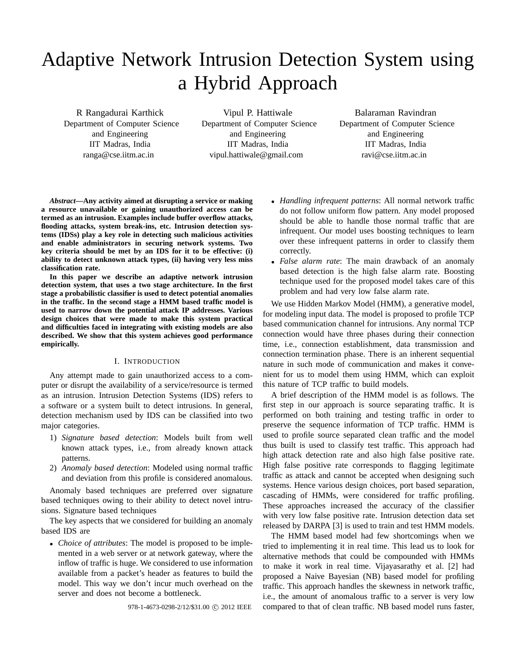# Adaptive Network Intrusion Detection System using a Hybrid Approach

R Rangadurai Karthick Department of Computer Science and Engineering IIT Madras, India ranga@cse.iitm.ac.in

Vipul P. Hattiwale Department of Computer Science and Engineering IIT Madras, India vipul.hattiwale@gmail.com

Balaraman Ravindran Department of Computer Science and Engineering IIT Madras, India ravi@cse.iitm.ac.in

*Abstract***—Any activity aimed at disrupting a service or making a resource unavailable or gaining unauthorized access can be termed as an intrusion. Examples include buffer overflow attacks, flooding attacks, system break-ins, etc. Intrusion detection systems (IDSs) play a key role in detecting such malicious activities and enable administrators in securing network systems. Two key criteria should be met by an IDS for it to be effective: (i) ability to detect unknown attack types, (ii) having very less miss classification rate.**

**In this paper we describe an adaptive network intrusion detection system, that uses a two stage architecture. In the first stage a probabilistic classifier is used to detect potential anomalies in the traffic. In the second stage a HMM based traffic model is used to narrow down the potential attack IP addresses. Various design choices that were made to make this system practical and difficulties faced in integrating with existing models are also described. We show that this system achieves good performance empirically.**

## I. INTRODUCTION

Any attempt made to gain unauthorized access to a computer or disrupt the availability of a service/resource is termed as an intrusion. Intrusion Detection Systems (IDS) refers to a software or a system built to detect intrusions. In general, detection mechanism used by IDS can be classified into two major categories.

- 1) *Signature based detection*: Models built from well known attack types, i.e., from already known attack patterns.
- 2) *Anomaly based detection*: Modeled using normal traffic and deviation from this profile is considered anomalous.

Anomaly based techniques are preferred over signature based techniques owing to their ability to detect novel intrusions. Signature based techniques

The key aspects that we considered for building an anomaly based IDS are

• *Choice of attributes*: The model is proposed to be implemented in a web server or at network gateway, where the inflow of traffic is huge. We considered to use information available from a packet's header as features to build the model. This way we don't incur much overhead on the server and does not become a bottleneck.

- *Handling infrequent patterns*: All normal network traffic do not follow uniform flow pattern. Any model proposed should be able to handle those normal traffic that are infrequent. Our model uses boosting techniques to learn over these infrequent patterns in order to classify them correctly.
- *False alarm rate*: The main drawback of an anomaly based detection is the high false alarm rate. Boosting technique used for the proposed model takes care of this problem and had very low false alarm rate.

We use Hidden Markov Model (HMM), a generative model, for modeling input data. The model is proposed to profile TCP based communication channel for intrusions. Any normal TCP connection would have three phases during their connection time, i.e., connection establishment, data transmission and connection termination phase. There is an inherent sequential nature in such mode of communication and makes it convenient for us to model them using HMM, which can exploit this nature of TCP traffic to build models.

A brief description of the HMM model is as follows. The first step in our approach is source separating traffic. It is performed on both training and testing traffic in order to preserve the sequence information of TCP traffic. HMM is used to profile source separated clean traffic and the model thus built is used to classify test traffic. This approach had high attack detection rate and also high false positive rate. High false positive rate corresponds to flagging legitimate traffic as attack and cannot be accepted when designing such systems. Hence various design choices, port based separation, cascading of HMMs, were considered for traffic profiling. These approaches increased the accuracy of the classifier with very low false positive rate. Intrusion detection data set released by DARPA [3] is used to train and test HMM models.

The HMM based model had few shortcomings when we tried to implementing it in real time. This lead us to look for alternative methods that could be compounded with HMMs to make it work in real time. Vijayasarathy et al. [2] had proposed a Naive Bayesian (NB) based model for profiling traffic. This approach handles the skewness in network traffic, i.e., the amount of anomalous traffic to a server is very low 978-1-4673-0298-2/12/\$31.00 © 2012 IEEE compared to that of clean traffic. NB based model runs faster,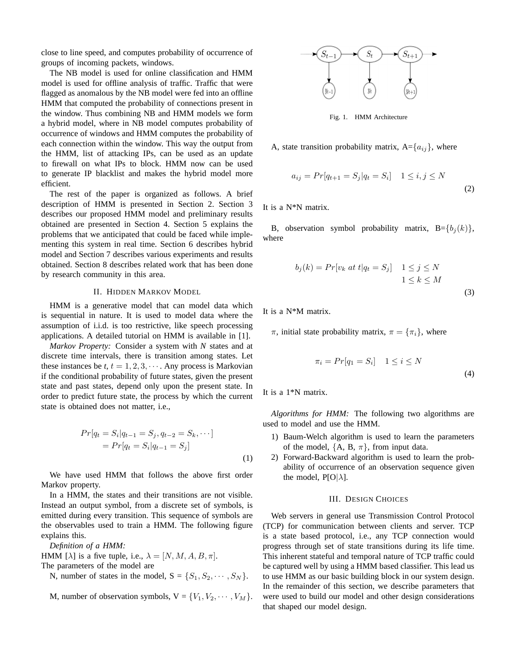close to line speed, and computes probability of occurrence of groups of incoming packets, windows.

The NB model is used for online classification and HMM model is used for offline analysis of traffic. Traffic that were flagged as anomalous by the NB model were fed into an offline HMM that computed the probability of connections present in the window. Thus combining NB and HMM models we form a hybrid model, where in NB model computes probability of occurrence of windows and HMM computes the probability of each connection within the window. This way the output from the HMM, list of attacking IPs, can be used as an update to firewall on what IPs to block. HMM now can be used to generate IP blacklist and makes the hybrid model more efficient.

The rest of the paper is organized as follows. A brief description of HMM is presented in Section 2. Section 3 describes our proposed HMM model and preliminary results obtained are presented in Section 4. Section 5 explains the problems that we anticipated that could be faced while implementing this system in real time. Section 6 describes hybrid model and Section 7 describes various experiments and results obtained. Section 8 describes related work that has been done by research community in this area.

### II. HIDDEN MARKOV MODEL

HMM is a generative model that can model data which is sequential in nature. It is used to model data where the assumption of i.i.d. is too restrictive, like speech processing applications. A detailed tutorial on HMM is available in [1].

*Markov Property:* Consider a system with *N* states and at discrete time intervals, there is transition among states. Let these instances be  $t, t = 1, 2, 3, \cdots$ . Any process is Markovian if the conditional probability of future states, given the present state and past states, depend only upon the present state. In order to predict future state, the process by which the current state is obtained does not matter, i.e.,

$$
Pr[q_t = S_i | q_{t-1} = S_j, q_{t-2} = S_k, \cdots]
$$
  
= 
$$
Pr[q_t = S_i | q_{t-1} = S_j]
$$
 (1)

We have used HMM that follows the above first order Markov property.

In a HMM, the states and their transitions are not visible. Instead an output symbol, from a discrete set of symbols, is emitted during every transition. This sequence of symbols are the observables used to train a HMM. The following figure explains this.

*Definition of a HMM:*

HMM [ $\lambda$ ] is a five tuple, i.e.,  $\lambda = [N, M, A, B, \pi]$ .

The parameters of the model are

N, number of states in the model,  $S = \{S_1, S_2, \dots, S_N\}.$ 

M, number of observation symbols,  $V = \{V_1, V_2, \dots, V_M\}$ .



Fig. 1. HMM Architecture

A, state transition probability matrix,  $A = \{a_{ij}\}\$ , where

$$
a_{ij} = Pr[q_{t+1} = S_j | q_t = S_i] \quad 1 \le i, j \le N
$$
\n(2)

It is a N\*N matrix.

B, observation symbol probability matrix,  $B = \{b_i(k)\}\,$ where

$$
b_j(k) = Pr[v_k \ at \ t|q_t = S_j] \quad 1 \le j \le N
$$

$$
1 \le k \le M
$$

$$
(3)
$$

It is a N\*M matrix.

 $\pi$ , initial state probability matrix,  $\pi = {\pi_i}$ , where

$$
\pi_i = Pr[q_1 = S_i] \quad 1 \le i \le N
$$
\n<sup>(4)</sup>

It is a 1\*N matrix.

*Algorithms for HMM:* The following two algorithms are used to model and use the HMM.

- 1) Baum-Welch algorithm is used to learn the parameters of the model,  $\{A, B, \pi\}$ , from input data.
- 2) Forward-Backward algorithm is used to learn the probability of occurrence of an observation sequence given the model,  $P[O|\lambda]$ .

#### III. DESIGN CHOICES

Web servers in general use Transmission Control Protocol (TCP) for communication between clients and server. TCP is a state based protocol, i.e., any TCP connection would progress through set of state transitions during its life time. This inherent stateful and temporal nature of TCP traffic could be captured well by using a HMM based classifier. This lead us to use HMM as our basic building block in our system design. In the remainder of this section, we describe parameters that were used to build our model and other design considerations that shaped our model design.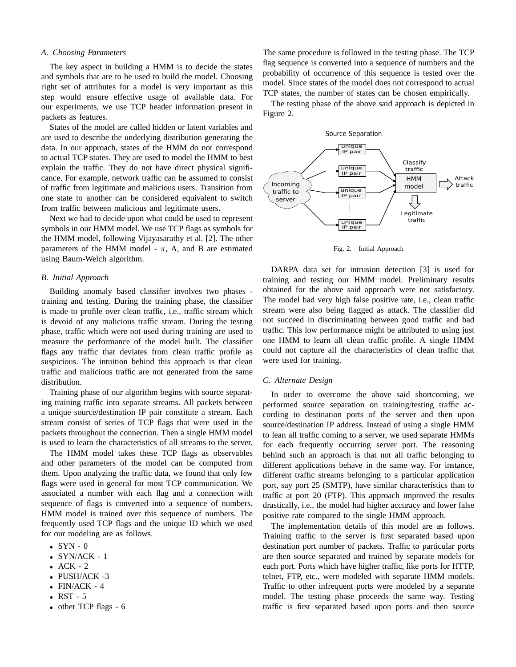#### *A. Choosing Parameters*

The key aspect in building a HMM is to decide the states and symbols that are to be used to build the model. Choosing right set of attributes for a model is very important as this step would ensure effective usage of available data. For our experiments, we use TCP header information present in packets as features.

States of the model are called hidden or latent variables and are used to describe the underlying distribution generating the data. In our approach, states of the HMM do not correspond to actual TCP states. They are used to model the HMM to best explain the traffic. They do not have direct physical significance. For example, network traffic can be assumed to consist of traffic from legitimate and malicious users. Transition from one state to another can be considered equivalent to switch from traffic between malicious and legitimate users.

Next we had to decide upon what could be used to represent symbols in our HMM model. We use TCP flags as symbols for the HMM model, following Vijayasarathy et al. [2]. The other parameters of the HMM model -  $\pi$ , A, and B are estimated using Baum-Welch algorithm.

## *B. Initial Approach*

Building anomaly based classifier involves two phases training and testing. During the training phase, the classifier is made to profile over clean traffic, i.e., traffic stream which is devoid of any malicious traffic stream. During the testing phase, traffic which were not used during training are used to measure the performance of the model built. The classifier flags any traffic that deviates from clean traffic profile as suspicious. The intuition behind this approach is that clean traffic and malicious traffic are not generated from the same distribution.

Training phase of our algorithm begins with source separating training traffic into separate streams. All packets between a unique source/destination IP pair constitute a stream. Each stream consist of series of TCP flags that were used in the packets throughout the connection. Then a single HMM model is used to learn the characteristics of all streams to the server.

The HMM model takes these TCP flags as observables and other parameters of the model can be computed from them. Upon analyzing the traffic data, we found that only few flags were used in general for most TCP communication. We associated a number with each flag and a connection with sequence of flags is converted into a sequence of numbers. HMM model is trained over this sequence of numbers. The frequently used TCP flags and the unique ID which we used for our modeling are as follows.

- SYN 0
- SYN/ACK 1
- ACK 2
- PUSH/ACK -3
- FIN/ACK  $4$
- RST 5
- other TCP flags 6

The same procedure is followed in the testing phase. The TCP flag sequence is converted into a sequence of numbers and the probability of occurrence of this sequence is tested over the model. Since states of the model does not correspond to actual TCP states, the number of states can be chosen empirically.

The testing phase of the above said approach is depicted in Figure 2.



Fig. 2. Initial Approach

DARPA data set for intrusion detection [3] is used for training and testing our HMM model. Preliminary results obtained for the above said approach were not satisfactory. The model had very high false positive rate, i.e., clean traffic stream were also being flagged as attack. The classifier did not succeed in discriminating between good traffic and bad traffic. This low performance might be attributed to using just one HMM to learn all clean traffic profile. A single HMM could not capture all the characteristics of clean traffic that were used for training.

# *C. Alternate Design*

In order to overcome the above said shortcoming, we performed source separation on training/testing traffic according to destination ports of the server and then upon source/destination IP address. Instead of using a single HMM to lean all traffic coming to a server, we used separate HMMs for each frequently occurring server port. The reasoning behind such an approach is that not all traffic belonging to different applications behave in the same way. For instance, different traffic streams belonging to a particular application port, say port 25 (SMTP), have similar characteristics than to traffic at port 20 (FTP). This approach improved the results drastically, i.e., the model had higher accuracy and lower false positive rate compared to the single HMM approach.

The implementation details of this model are as follows. Training traffic to the server is first separated based upon destination port number of packets. Traffic to particular ports are then source separated and trained by separate models for each port. Ports which have higher traffic, like ports for HTTP, telnet, FTP, etc., were modeled with separate HMM models. Traffic to other infrequent ports were modeled by a separate model. The testing phase proceeds the same way. Testing traffic is first separated based upon ports and then source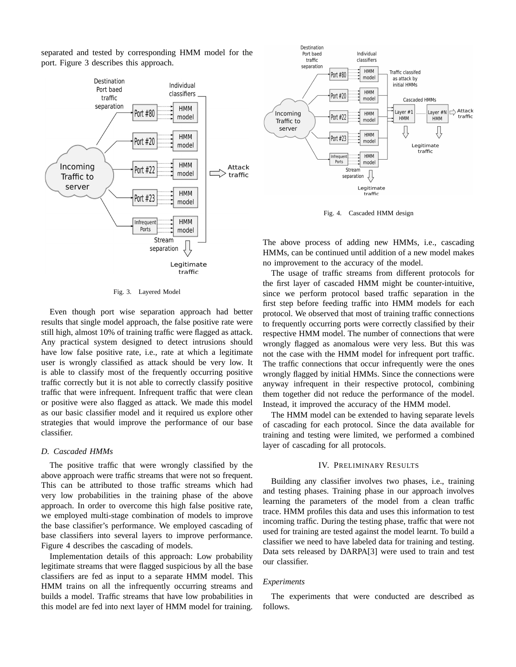separated and tested by corresponding HMM model for the port. Figure 3 describes this approach.



Fig. 3. Layered Model

Even though port wise separation approach had better results that single model approach, the false positive rate were still high, almost 10% of training traffic were flagged as attack. Any practical system designed to detect intrusions should have low false positive rate, i.e., rate at which a legitimate user is wrongly classified as attack should be very low. It is able to classify most of the frequently occurring positive traffic correctly but it is not able to correctly classify positive traffic that were infrequent. Infrequent traffic that were clean or positive were also flagged as attack. We made this model as our basic classifier model and it required us explore other strategies that would improve the performance of our base classifier.

#### *D. Cascaded HMMs*

The positive traffic that were wrongly classified by the above approach were traffic streams that were not so frequent. This can be attributed to those traffic streams which had very low probabilities in the training phase of the above approach. In order to overcome this high false positive rate, we employed multi-stage combination of models to improve the base classifier's performance. We employed cascading of base classifiers into several layers to improve performance. Figure 4 describes the cascading of models.

Implementation details of this approach: Low probability legitimate streams that were flagged suspicious by all the base classifiers are fed as input to a separate HMM model. This HMM trains on all the infrequently occurring streams and builds a model. Traffic streams that have low probabilities in this model are fed into next layer of HMM model for training.



Fig. 4. Cascaded HMM design

The above process of adding new HMMs, i.e., cascading HMMs, can be continued until addition of a new model makes no improvement to the accuracy of the model.

The usage of traffic streams from different protocols for the first layer of cascaded HMM might be counter-intuitive, since we perform protocol based traffic separation in the first step before feeding traffic into HMM models for each protocol. We observed that most of training traffic connections to frequently occurring ports were correctly classified by their respective HMM model. The number of connections that were wrongly flagged as anomalous were very less. But this was not the case with the HMM model for infrequent port traffic. The traffic connections that occur infrequently were the ones wrongly flagged by initial HMMs. Since the connections were anyway infrequent in their respective protocol, combining them together did not reduce the performance of the model. Instead, it improved the accuracy of the HMM model.

The HMM model can be extended to having separate levels of cascading for each protocol. Since the data available for training and testing were limited, we performed a combined layer of cascading for all protocols.

## IV. PRELIMINARY RESULTS

Building any classifier involves two phases, i.e., training and testing phases. Training phase in our approach involves learning the parameters of the model from a clean traffic trace. HMM profiles this data and uses this information to test incoming traffic. During the testing phase, traffic that were not used for training are tested against the model learnt. To build a classifier we need to have labeled data for training and testing. Data sets released by DARPA[3] were used to train and test our classifier.

## *Experiments*

The experiments that were conducted are described as follows.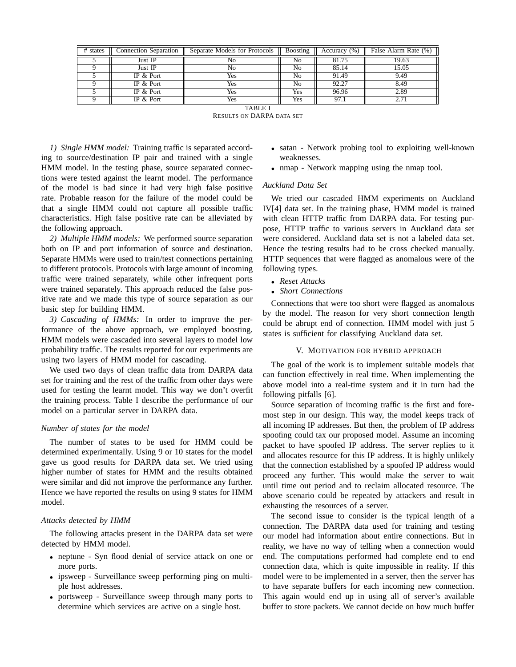| # states | <b>Connection Separation</b> | Separate Models for Protocols | <b>Boosting</b> | Accuracy (%) | False Alarm Rate (%) |
|----------|------------------------------|-------------------------------|-----------------|--------------|----------------------|
|          | Just IP                      | No                            | No              | 81.75        | 19.63                |
|          | Just IP                      | No                            | No              | 85.14        | 15.05                |
|          | IP $&$ Port                  | Yes                           | No              | 91.49        | 9.49                 |
|          | IP $&$ Port                  | Yes                           | No              | 92.27        | 8.49                 |
|          | IP $&$ Port                  | Yes                           | Yes             | 96.96        | 2.89                 |
|          | IP $&$ Port                  | Yes                           | Yes             | 97.1         |                      |
| TARLEI   |                              |                               |                 |              |                      |

RESULTS ON DARPA DATA SET

*1) Single HMM model:* Training traffic is separated according to source/destination IP pair and trained with a single HMM model. In the testing phase, source separated connections were tested against the learnt model. The performance of the model is bad since it had very high false positive rate. Probable reason for the failure of the model could be that a single HMM could not capture all possible traffic characteristics. High false positive rate can be alleviated by the following approach.

*2) Multiple HMM models:* We performed source separation both on IP and port information of source and destination. Separate HMMs were used to train/test connections pertaining to different protocols. Protocols with large amount of incoming traffic were trained separately, while other infrequent ports were trained separately. This approach reduced the false positive rate and we made this type of source separation as our basic step for building HMM.

*3) Cascading of HMMs:* In order to improve the performance of the above approach, we employed boosting. HMM models were cascaded into several layers to model low probability traffic. The results reported for our experiments are using two layers of HMM model for cascading.

We used two days of clean traffic data from DARPA data set for training and the rest of the traffic from other days were used for testing the learnt model. This way we don't overfit the training process. Table I describe the performance of our model on a particular server in DARPA data.

#### *Number of states for the model*

The number of states to be used for HMM could be determined experimentally. Using 9 or 10 states for the model gave us good results for DARPA data set. We tried using higher number of states for HMM and the results obtained were similar and did not improve the performance any further. Hence we have reported the results on using 9 states for HMM model.

#### *Attacks detected by HMM*

The following attacks present in the DARPA data set were detected by HMM model.

- neptune Syn flood denial of service attack on one or more ports.
- ipsweep Surveillance sweep performing ping on multiple host addresses.
- portsweep Surveillance sweep through many ports to determine which services are active on a single host.
- satan Network probing tool to exploiting well-known weaknesses.
- nmap Network mapping using the nmap tool.

## *Auckland Data Set*

We tried our cascaded HMM experiments on Auckland IV[4] data set. In the training phase, HMM model is trained with clean HTTP traffic from DARPA data. For testing purpose, HTTP traffic to various servers in Auckland data set were considered. Auckland data set is not a labeled data set. Hence the testing results had to be cross checked manually. HTTP sequences that were flagged as anomalous were of the following types.

- *Reset Attacks*
- *Short Connections*

Connections that were too short were flagged as anomalous by the model. The reason for very short connection length could be abrupt end of connection. HMM model with just 5 states is sufficient for classifying Auckland data set.

## V. MOTIVATION FOR HYBRID APPROACH

The goal of the work is to implement suitable models that can function effectively in real time. When implementing the above model into a real-time system and it in turn had the following pitfalls [6].

Source separation of incoming traffic is the first and foremost step in our design. This way, the model keeps track of all incoming IP addresses. But then, the problem of IP address spoofing could tax our proposed model. Assume an incoming packet to have spoofed IP address. The server replies to it and allocates resource for this IP address. It is highly unlikely that the connection established by a spoofed IP address would proceed any further. This would make the server to wait until time out period and to reclaim allocated resource. The above scenario could be repeated by attackers and result in exhausting the resources of a server.

The second issue to consider is the typical length of a connection. The DARPA data used for training and testing our model had information about entire connections. But in reality, we have no way of telling when a connection would end. The computations performed had complete end to end connection data, which is quite impossible in reality. If this model were to be implemented in a server, then the server has to have separate buffers for each incoming new connection. This again would end up in using all of server's available buffer to store packets. We cannot decide on how much buffer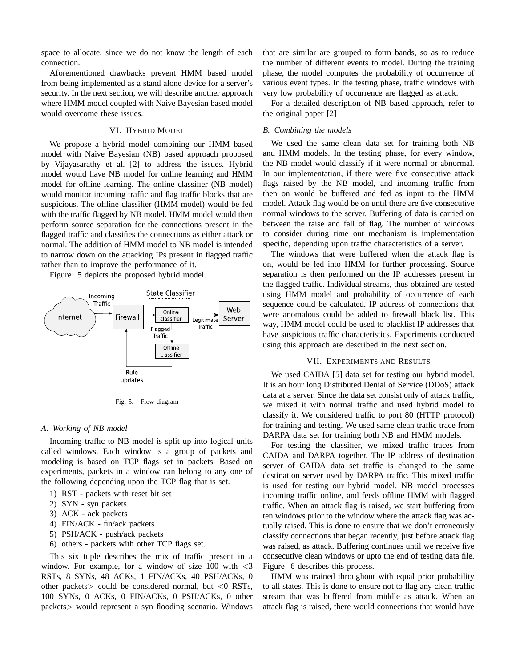space to allocate, since we do not know the length of each connection.

Aforementioned drawbacks prevent HMM based model from being implemented as a stand alone device for a server's security. In the next section, we will describe another approach where HMM model coupled with Naive Bayesian based model would overcome these issues.

## VI. HYBRID MODEL

We propose a hybrid model combining our HMM based model with Naive Bayesian (NB) based approach proposed by Vijayasarathy et al. [2] to address the issues. Hybrid model would have NB model for online learning and HMM model for offline learning. The online classifier (NB model) would monitor incoming traffic and flag traffic blocks that are suspicious. The offline classifier (HMM model) would be fed with the traffic flagged by NB model. HMM model would then perform source separation for the connections present in the flagged traffic and classifies the connections as either attack or normal. The addition of HMM model to NB model is intended to narrow down on the attacking IPs present in flagged traffic rather than to improve the performance of it.

Figure 5 depicts the proposed hybrid model.



Fig. 5. Flow diagram

#### *A. Working of NB model*

Incoming traffic to NB model is split up into logical units called windows. Each window is a group of packets and modeling is based on TCP flags set in packets. Based on experiments, packets in a window can belong to any one of the following depending upon the TCP flag that is set.

- 1) RST packets with reset bit set
- 2) SYN syn packets
- 3) ACK ack packets
- 4) FIN/ACK fin/ack packets
- 5) PSH/ACK push/ack packets
- 6) others packets with other TCP flags set.

This six tuple describes the mix of traffic present in a window. For example, for a window of size 100 with  $\langle 3 \rangle$ RSTs, 8 SYNs, 48 ACKs, 1 FIN/ACKs, 40 PSH/ACKs, 0 other packets  $>$  could be considered normal, but  $<$  0 RSTs, 100 SYNs, 0 ACKs, 0 FIN/ACKs, 0 PSH/ACKs, 0 other packets> would represent a syn flooding scenario. Windows that are similar are grouped to form bands, so as to reduce the number of different events to model. During the training phase, the model computes the probability of occurrence of various event types. In the testing phase, traffic windows with very low probability of occurrence are flagged as attack.

For a detailed description of NB based approach, refer to the original paper [2]

# *B. Combining the models*

We used the same clean data set for training both NB and HMM models. In the testing phase, for every window, the NB model would classify if it were normal or abnormal. In our implementation, if there were five consecutive attack flags raised by the NB model, and incoming traffic from then on would be buffered and fed as input to the HMM model. Attack flag would be on until there are five consecutive normal windows to the server. Buffering of data is carried on between the raise and fall of flag. The number of windows to consider during time out mechanism is implementation specific, depending upon traffic characteristics of a server.

The windows that were buffered when the attack flag is on, would be fed into HMM for further processing. Source separation is then performed on the IP addresses present in the flagged traffic. Individual streams, thus obtained are tested using HMM model and probability of occurrence of each sequence could be calculated. IP address of connections that were anomalous could be added to firewall black list. This way, HMM model could be used to blacklist IP addresses that have suspicious traffic characteristics. Experiments conducted using this approach are described in the next section.

## VII. EXPERIMENTS AND RESULTS

We used CAIDA [5] data set for testing our hybrid model. It is an hour long Distributed Denial of Service (DDoS) attack data at a server. Since the data set consist only of attack traffic, we mixed it with normal traffic and used hybrid model to classify it. We considered traffic to port 80 (HTTP protocol) for training and testing. We used same clean traffic trace from DARPA data set for training both NB and HMM models.

For testing the classifier, we mixed traffic traces from CAIDA and DARPA together. The IP address of destination server of CAIDA data set traffic is changed to the same destination server used by DARPA traffic. This mixed traffic is used for testing our hybrid model. NB model processes incoming traffic online, and feeds offline HMM with flagged traffic. When an attack flag is raised, we start buffering from ten windows prior to the window where the attack flag was actually raised. This is done to ensure that we don't erroneously classify connections that began recently, just before attack flag was raised, as attack. Buffering continues until we receive five consecutive clean windows or upto the end of testing data file. Figure 6 describes this process.

HMM was trained throughout with equal prior probability to all states. This is done to ensure not to flag any clean traffic stream that was buffered from middle as attack. When an attack flag is raised, there would connections that would have